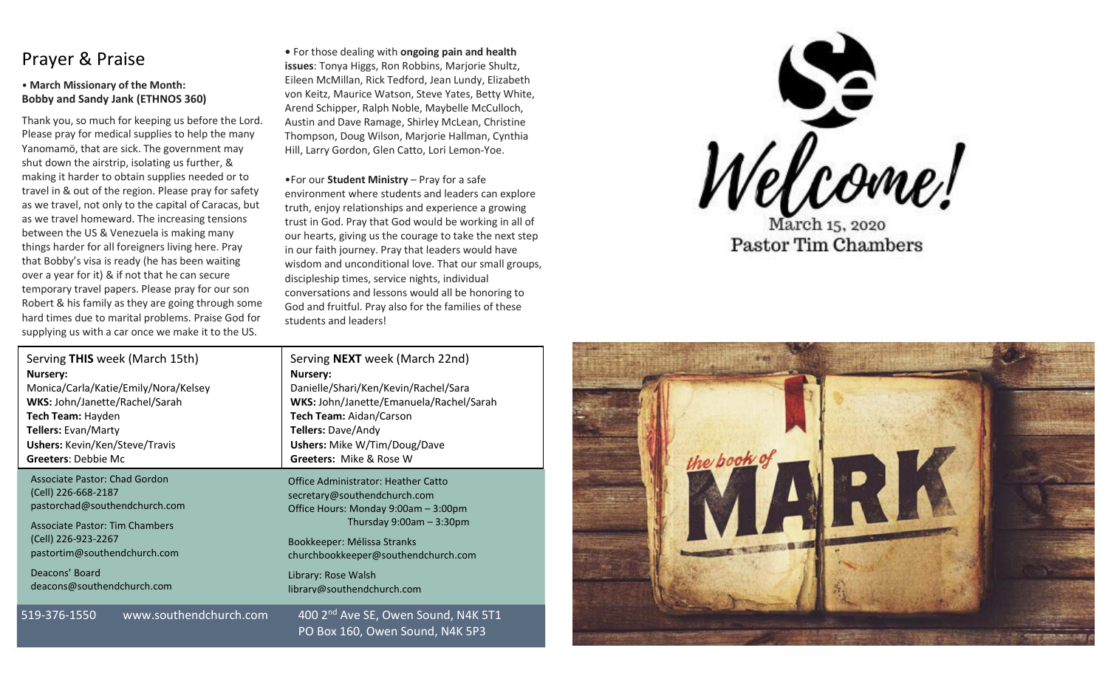## Prayer & Praise

#### • **March Missionary of the Month: Bobby and Sandy Jank (ETHNOS 360)**

Thank you, so much for keeping us before the Lord. Please pray for medical supplies to help the many Yanomamö, that are sick. The government may shut down the airstrip, isolating us further, & making it harder to obtain supplies needed or to travel in & out of the region. Please pray for safety as we travel, not only to the capital of Caracas, but as we travel homeward. The increasing tensions between the US & Venezuela is making many things harder for all foreigners living here. Pray that Bobby's visa is ready (he has been waiting over a year for it) & if not that he can secure temporary travel papers. Please pray for our son Robert & his family as they are going through some hard times due to marital problems. Praise God for supplying us with a car once we make it to the US.

**•** For those dealing with **ongoing pain and health issues**: Tonya Higgs, Ron Robbins, Marjorie Shultz, Eileen McMillan, Rick Tedford, Jean Lundy, Elizabeth von Keitz, Maurice Watson, Steve Yates, Betty White, Arend Schipper, Ralph Noble, Maybelle McCulloch, Austin and Dave Ramage, Shirley McLean, Christine Thompson, Doug Wilson, Marjorie Hallman, Cynthia Hill, Larry Gordon, Glen Catto, Lori Lemon-Yoe.

•For our **Student Ministry** – Pray for a safe environment where students and leaders can explore truth, enjoy relationships and experience a growing trust in God. Pray that God would be working in all of our hearts, giving us the courage to take the next step in our faith journey. Pray that leaders would have wisdom and unconditional love. That our small groups, discipleship times, service nights, individual conversations and lessons would all be honoring to God and fruitful. Pray also for the families of these students and leaders!

PO Box 160, Owen Sound, N4K 5P3

| Serving THIS week (March 15th)         | Serving <b>NEXT</b> week (March 22nd)           |
|----------------------------------------|-------------------------------------------------|
| Nursery:                               | Nursery:                                        |
| Monica/Carla/Katie/Emily/Nora/Kelsey   | Danielle/Shari/Ken/Kevin/Rachel/Sara            |
| WKS: John/Janette/Rachel/Sarah         | WKS: John/Janette/Emanuela/Rachel/Sarah         |
| Tech Team: Hayden                      | Tech Team: Aidan/Carson                         |
| <b>Tellers: Evan/Marty</b>             | Tellers: Dave/Andy                              |
| <b>Ushers:</b> Kevin/Ken/Steve/Travis  | <b>Ushers:</b> Mike W/Tim/Doug/Dave             |
| <b>Greeters: Debbie Mc</b>             | <b>Greeters: Mike &amp; Rose W</b>              |
| Associate Pastor: Chad Gordon          | <b>Office Administrator: Heather Catto</b>      |
| (Cell) 226-668-2187                    | secretary@southendchurch.com                    |
| pastorchad@southendchurch.com          | Office Hours: Monday 9:00am - 3:00pm            |
| <b>Associate Pastor: Tim Chambers</b>  | Thursday $9:00am - 3:30pm$                      |
| (Cell) 226-923-2267                    | Bookkeeper: Mélissa Stranks                     |
| pastortim@southendchurch.com           | churchbookkeeper@southendchurch.com             |
| Deacons' Board                         | Library: Rose Walsh                             |
| deacons@southendchurch.com             | library@southendchurch.com                      |
| www.southendchurch.com<br>519-376-1550 | 400 2 <sup>nd</sup> Ave SE, Owen Sound, N4K 5T1 |



**Pastor Tim Chambers**